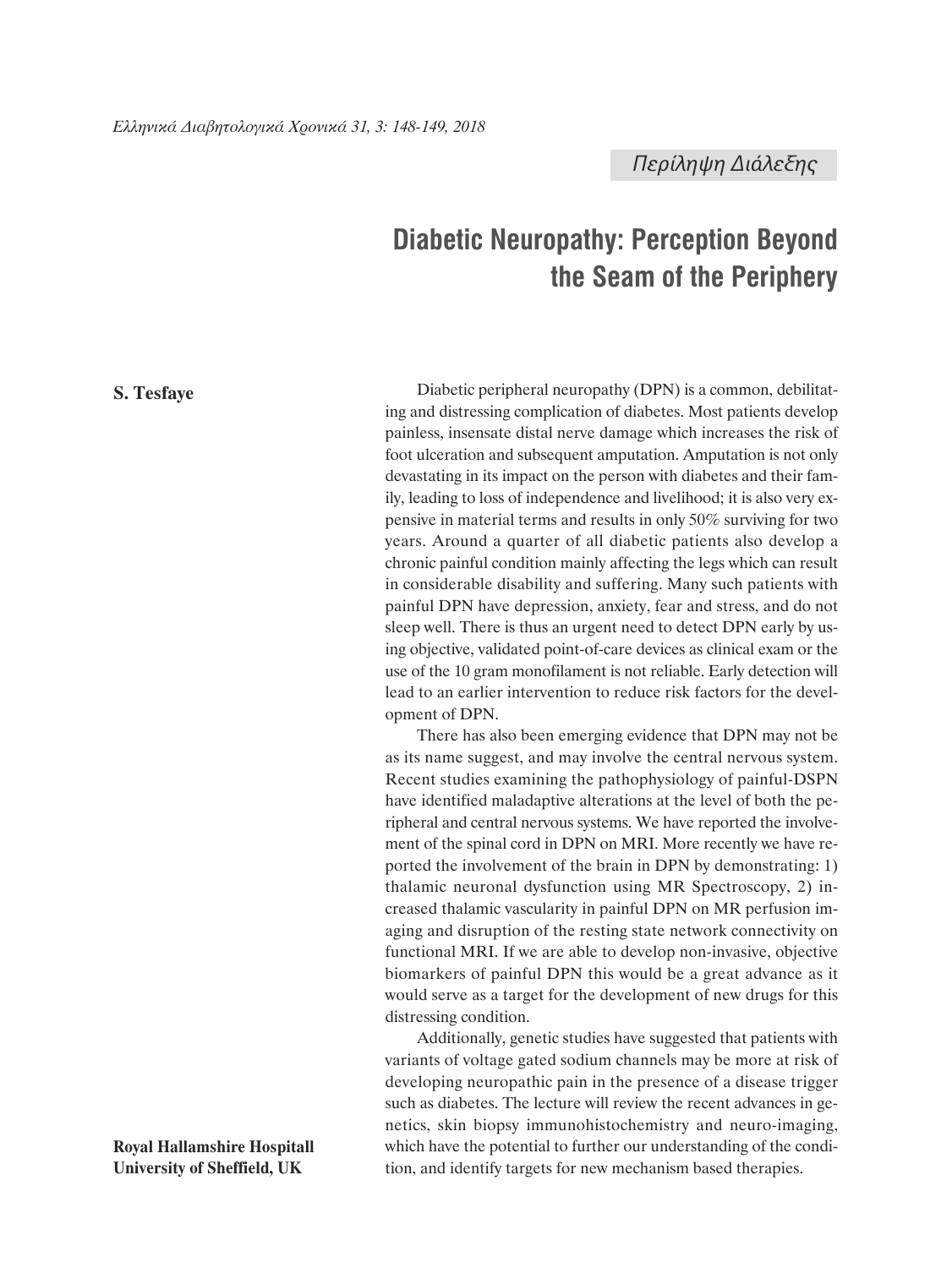*Περίληψη Διάλεξης*

## **Diabetic Neuropathy: Perception Beyond the Seam of the Periphery**

**S. Tesfaye**

Diabetic peripheral neuropathy (DPN) is a common, debilitating and distressing complication of diabetes. Most patients develop painless, insensate distal nerve damage which increases the risk of foot ulceration and subsequent amputation. Amputation is not only devastating in its impact on the person with diabetes and their family, leading to loss of independence and livelihood; it is also very expensive in material terms and results in only 50% surviving for two years. Around a quarter of all diabetic patients also develop a chronic painful condition mainly affecting the legs which can result in considerable disability and suffering. Many such patients with painful DPN have depression, anxiety, fear and stress, and do not sleep well. There is thus an urgent need to detect DPN early by using objective, validated point-of-care devices as clinical exam or the use of the 10 gram monofilament is not reliable. Early detection will lead to an earlier intervention to reduce risk factors for the development of DPN.

There has also been emerging evidence that DPN may not be as its name suggest, and may involve the central nervous system. Recent studies examining the pathophysiology of painful-DSPN have identified maladaptive alterations at the level of both the peripheral and central nervous systems. We have reported the involvement of the spinal cord in DPN on MRI. More recently we have reported the involvement of the brain in DPN by demonstrating: 1) thalamic neuronal dysfunction using MR Spectroscopy, 2) increased thalamic vascularity in painful DPN on MR perfusion imaging and disruption of the resting state network connectivity on functional MRI. If we are able to develop non-invasive, objective biomarkers of painful DPN this would be a great advance as it would serve as a target for the development of new drugs for this distressing condition.

Additionally, genetic studies have suggested that patients with variants of voltage gated sodium channels may be more at risk of developing neuropathic pain in the presence of a disease trigger such as diabetes. The lecture will review the recent advances in genetics, skin biopsy immunohistochemistry and neuro-imaging, which have the potential to further our understanding of the condition, and identify targets for new mechanism based therapies.

**Royal Hallamshire Hospitall University of Sheffield, UK**